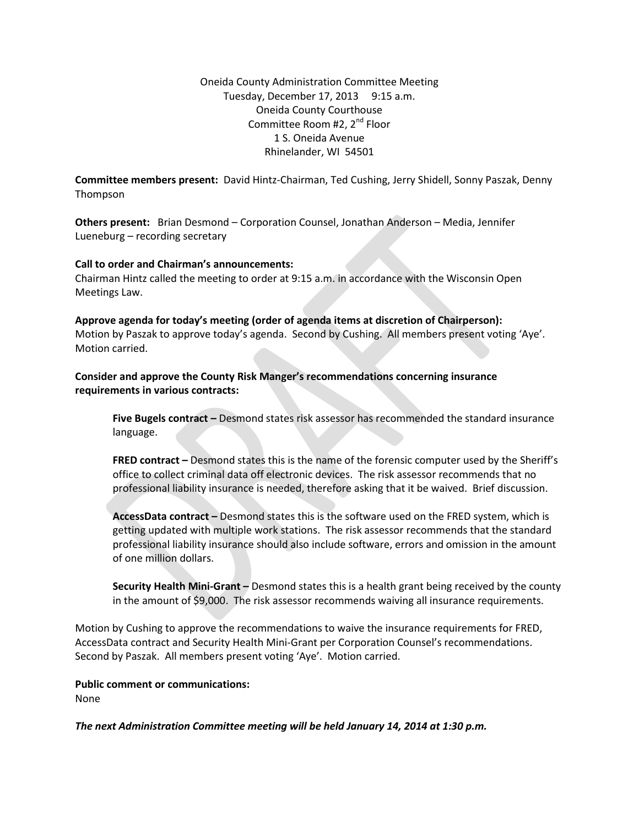Oneida County Administration Committee Meeting Tuesday, December 17, 2013 9:15 a.m. Oneida County Courthouse Committee Room #2, 2<sup>nd</sup> Floor 1 S. Oneida Avenue Rhinelander, WI 54501

**Committee members present:** David Hintz-Chairman, Ted Cushing, Jerry Shidell, Sonny Paszak, Denny Thompson

**Others present:** Brian Desmond – Corporation Counsel, Jonathan Anderson – Media, Jennifer Lueneburg – recording secretary

## **Call to order and Chairman's announcements:**

Chairman Hintz called the meeting to order at 9:15 a.m. in accordance with the Wisconsin Open Meetings Law.

**Approve agenda for today's meeting (order of agenda items at discretion of Chairperson):** Motion by Paszak to approve today's agenda. Second by Cushing. All members present voting 'Aye'. Motion carried.

**Consider and approve the County Risk Manger's recommendations concerning insurance requirements in various contracts:**

**Five Bugels contract –** Desmond states risk assessor has recommended the standard insurance language.

**FRED contract –** Desmond states this is the name of the forensic computer used by the Sheriff's office to collect criminal data off electronic devices. The risk assessor recommends that no professional liability insurance is needed, therefore asking that it be waived. Brief discussion.

**AccessData contract –** Desmond states this is the software used on the FRED system, which is getting updated with multiple work stations. The risk assessor recommends that the standard professional liability insurance should also include software, errors and omission in the amount of one million dollars.

**Security Health Mini-Grant –** Desmond states this is a health grant being received by the county in the amount of \$9,000. The risk assessor recommends waiving all insurance requirements.

Motion by Cushing to approve the recommendations to waive the insurance requirements for FRED, AccessData contract and Security Health Mini-Grant per Corporation Counsel's recommendations. Second by Paszak. All members present voting 'Aye'. Motion carried.

## **Public comment or communications:**

None

*The next Administration Committee meeting will be held January 14, 2014 at 1:30 p.m.*